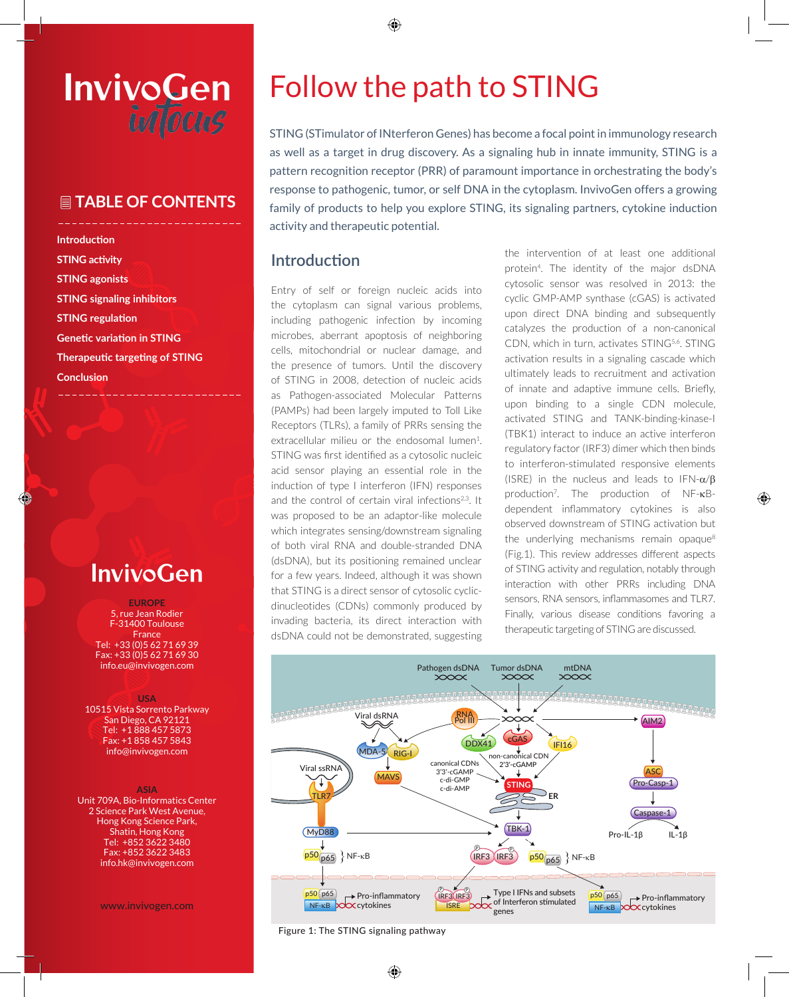# InvivoGen intocus

# **TABLE OF CONTENTS**

**Introduction STING activity STING agonists STING signaling inhibitors STING regulation Genetic variation in STING Therapeutic targeting of STING Conclusion**

# **InvivoGen**

◈

**EUROPE** 5, rue Jean Rodier F-31400 Toulouse France Tel: +33 (0)5 62 71 69 39 Fax: +33 (0)5 62 71 69 30 info.eu@invivogen.com

#### **USA**

10515 Vista Sorrento Parkway San Diego, CA 92121 Tel: +1 888 457 5873 Fax: +1 858 457 5843 info@invivogen.com

#### **ASIA**

Unit 709A, Bio-Informatics Center 2 Science Park West Avenue, Hong Kong Science Park, Shatin, Hong Kong Tel: +852 3622 3480 Fax: +852 3622 3483 info.hk@invivogen.com

www.invivogen.com

# Follow the path to STING

⊕

STING (STimulator of INterferon Genes) has become a focal point in immunology research as well as a target in drug discovery. As a signaling hub in innate immunity, STING is a pattern recognition receptor (PRR) of paramount importance in orchestrating the body's response to pathogenic, tumor, or self DNA in the cytoplasm. InvivoGen offers a growing family of products to help you explore STING, its signaling partners, cytokine induction activity and therapeutic potential.

# **Introduction**

Entry of self or foreign nucleic acids into the cytoplasm can signal various problems, including pathogenic infection by incoming microbes, aberrant apoptosis of neighboring cells, mitochondrial or nuclear damage, and the presence of tumors. Until the discovery of STING in 2008, detection of nucleic acids as Pathogen-associated Molecular Patterns (PAMPs) had been largely imputed to Toll Like Receptors (TLRs), a family of PRRs sensing the extracellular milieu or the endosomal lumen<sup>1</sup>. STING was first identified as a cytosolic nucleic acid sensor playing an essential role in the induction of type I interferon (IFN) responses and the control of certain viral infections<sup>2,3</sup>. It was proposed to be an adaptor-like molecule which integrates sensing/downstream signaling of both viral RNA and double-stranded DNA (dsDNA), but its positioning remained unclear for a few years. Indeed, although it was shown that STING is a direct sensor of cytosolic cyclicdinucleotides (CDNs) commonly produced by invading bacteria, its direct interaction with dsDNA could not be demonstrated, suggesting

the intervention of at least one additional protein4. The identity of the major dsDNA cytosolic sensor was resolved in 2013: the cyclic GMP-AMP synthase (cGAS) is activated upon direct DNA binding and subsequently catalyzes the production of a non-canonical CDN, which in turn, activates STING<sup>5,6</sup>. STING activation results in a signaling cascade which ultimately leads to recruitment and activation of innate and adaptive immune cells. Briefly, upon binding to a single CDN molecule, activated STING and TANK-binding-kinase-I (TBK1) interact to induce an active interferon regulatory factor (IRF3) dimer which then binds to interferon-stimulated responsive elements (ISRE) in the nucleus and leads to  $IFN-\alpha/\beta$ production7. The production of NF-κBdependent inflammatory cytokines is also observed downstream of STING activation but the underlying mechanisms remain opaque $8$ (Fig.1). This review addresses different aspects of STING activity and regulation, notably through interaction with other PRRs including DNA sensors, RNA sensors, inflammasomes and TLR7. Finally, various disease conditions favoring a therapeutic targeting of STING are discussed.



Figure 1: The STING signaling pathway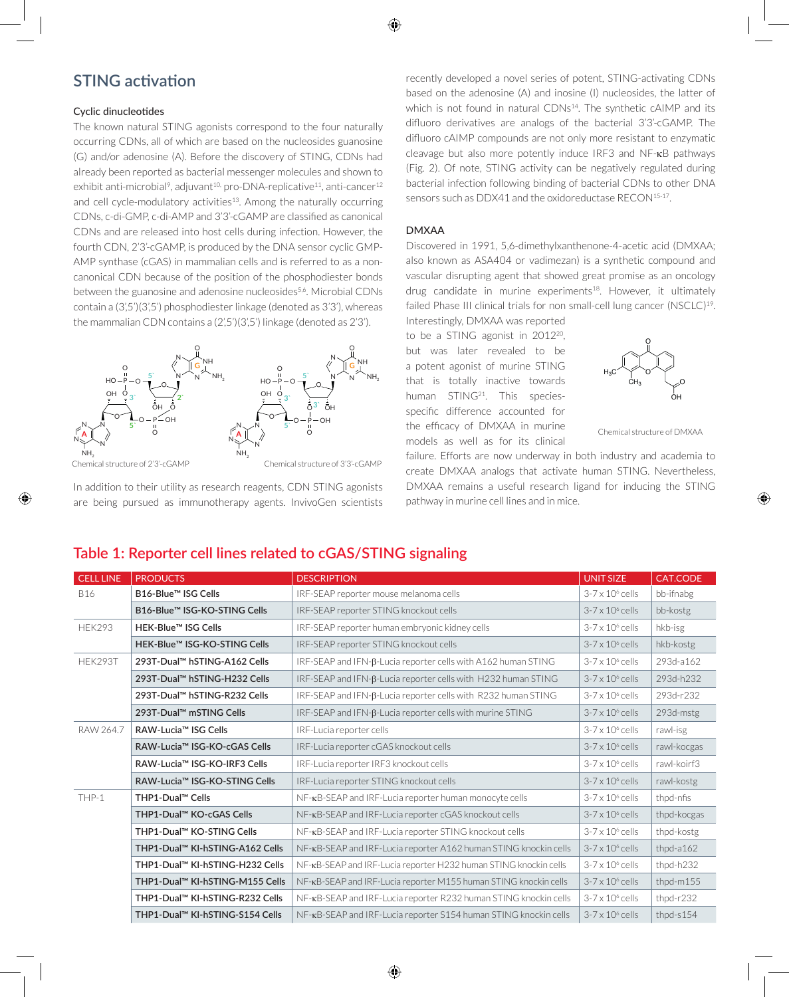# **STING activation**

### Cyclic dinucleotides

The known natural STING agonists correspond to the four naturally occurring CDNs, all of which are based on the nucleosides guanosine (G) and/or adenosine (A). Before the discovery of STING, CDNs had already been reported as bacterial messenger molecules and shown to exhibit anti-microbial<sup>9</sup>, adjuvant<sup>10,</sup> pro-DNA-replicative<sup>11</sup>, anti-cancer<sup>12</sup> and cell cycle-modulatory activities<sup>13</sup>. Among the naturally occurring CDNs, c-di-GMP, c-di-AMP and 3'3'-cGAMP are classified as canonical CDNs and are released into host cells during infection. However, the fourth CDN, 2'3'-cGAMP, is produced by the DNA sensor cyclic GMP-AMP synthase (cGAS) in mammalian cells and is referred to as a noncanonical CDN because of the position of the phosphodiester bonds between the guanosine and adenosine nucleosides<sup>5,6</sup>. Microbial CDNs contain a (3',5')(3',5') phosphodiester linkage (denoted as 3'3'), whereas the mammalian CDN contains a (2',5')(3',5') linkage (denoted as 2'3').



Chemical structure of 2'3'-cGAMP

Chemical structure of 3'3'-cGAMP

In addition to their utility as research reagents, CDN STING agonists are being pursued as immunotherapy agents. InvivoGen scientists recently developed a novel series of potent, STING-activating CDNs based on the adenosine (A) and inosine (I) nucleosides, the latter of which is not found in natural CDNs<sup>14</sup>. The synthetic cAIMP and its difluoro derivatives are analogs of the bacterial 3'3'-cGAMP. The difluoro cAIMP compounds are not only more resistant to enzymatic cleavage but also more potently induce IRF3 and NF-κB pathways (Fig. 2). Of note, STING activity can be negatively regulated during bacterial infection following binding of bacterial CDNs to other DNA sensors such as DDX41 and the oxidoreductase RECON<sup>15-17</sup>.

## DMXAA

Discovered in 1991, 5,6-dimethylxanthenone-4-acetic acid (DMXAA; also known as ASA404 or vadimezan) is a synthetic compound and vascular disrupting agent that showed great promise as an oncology drug candidate in murine experiments<sup>18</sup>. However, it ultimately failed Phase III clinical trials for non small-cell lung cancer (NSCLC)<sup>19</sup>.

Interestingly, DMXAA was reported to be a STING agonist in 2012<sup>20</sup>, but was later revealed to be a potent agonist of murine STING that is totally inactive towards human STING<sup>21</sup>. This speciesspecific difference accounted for the efficacy of DMXAA in murine models as well as for its clinical



Chemical structure of DMXAA

⊕

failure. Efforts are now underway in both industry and academia to create DMXAA analogs that activate human STING. Nevertheless, DMXAA remains a useful research ligand for inducing the STING pathway in murine cell lines and in mice.

## **Table 1: Reporter cell lines related to cGAS/STING signaling**

| <b>CELL LINE</b> | <b>PRODUCTS</b>                 | <b>DESCRIPTION</b>                                               | <b>UNIT SIZE</b>        | CAT.CODE     |
|------------------|---------------------------------|------------------------------------------------------------------|-------------------------|--------------|
| <b>B16</b>       | B16-Blue™ ISG Cells             | IRF-SEAP reporter mouse melanoma cells                           | $3-7 \times 10^6$ cells | bb-ifnabg    |
|                  | B16-Blue™ ISG-KO-STING Cells    | IRF-SEAP reporter STING knockout cells                           | $3-7 \times 10^6$ cells | bb-kostg     |
| <b>HEK293</b>    | HEK-Blue™ ISG Cells             | IRF-SEAP reporter human embryonic kidney cells                   | $3-7 \times 10^6$ cells | hkb-isg      |
|                  | HEK-Blue™ ISG-KO-STING Cells    | IRF-SEAP reporter STING knockout cells                           | $3-7 \times 10^6$ cells | hkb-kostg    |
| HEK293T          | 293T-Dual™ hSTING-A162 Cells    | IRF-SEAP and IFN-B-Lucia reporter cells with A162 human STING    | $3-7 \times 10^6$ cells | 293d-a162    |
|                  | 293T-Dual™ hSTING-H232 Cells    | IRF-SEAP and IFN-B-Lucia reporter cells with H232 human STING    | $3-7 \times 10^6$ cells | 293d-h232    |
|                  | 293T-Dual™ hSTING-R232 Cells    | IRF-SEAP and IFN-β-Lucia reporter cells with R232 human STING    | $3-7 \times 10^6$ cells | 293d-r232    |
|                  | 293T-Dual™ mSTING Cells         | IRF-SEAP and IFN-β-Lucia reporter cells with murine STING        | $3-7 \times 10^6$ cells | 293d-mstg    |
| RAW 264.7        | RAW-Lucia™ ISG Cells            | IRF-Lucia reporter cells                                         | $3-7 \times 10^6$ cells | rawl-isg     |
|                  | RAW-Lucia™ ISG-KO-cGAS Cells    | IRF-Lucia reporter cGAS knockout cells                           | $3-7 \times 10^6$ cells | rawl-kocgas  |
|                  | RAW-Lucia™ ISG-KO-IRF3 Cells    | IRF-Lucia reporter IRF3 knockout cells                           | $3-7 \times 10^6$ cells | rawl-koirf3  |
|                  | RAW-Lucia™ ISG-KO-STING Cells   | IRF-Lucia reporter STING knockout cells                          | $3-7 \times 10^6$ cells | rawl-kostg   |
| THP-1            | THP1-Dual™ Cells                | NF-KB-SEAP and IRF-Lucia reporter human monocyte cells           | $3-7 \times 10^6$ cells | thpd-nfis    |
|                  | THP1-Dual™ KO-cGAS Cells        | NF-KB-SEAP and IRF-Lucia reporter cGAS knockout cells            | $3-7 \times 10^6$ cells | thpd-kocgas  |
|                  | THP1-Dual™ KO-STING Cells       | NF-KB-SEAP and IRF-Lucia reporter STING knockout cells           | $3-7 \times 10^6$ cells | thpd-kostg   |
|                  | THP1-Dual™ KI-hSTING-A162 Cells | NF-KB-SEAP and IRF-Lucia reporter A162 human STING knockin cells | $3-7 \times 10^6$ cells | thpd-a162    |
|                  | THP1-Dual™ KI-hSTING-H232 Cells | NF-KB-SEAP and IRF-Lucia reporter H232 human STING knockin cells | $3-7 \times 10^6$ cells | thpd-h232    |
|                  | THP1-Dual™ KI-hSTING-M155 Cells | NF-KB-SEAP and IRF-Lucia reporter M155 human STING knockin cells | $3-7 \times 10^6$ cells | thpd-m155    |
|                  | THP1-Dual™ KI-hSTING-R232 Cells | NF-KB-SEAP and IRF-Lucia reporter R232 human STING knockin cells | $3-7 \times 10^6$ cells | thpd-r232    |
|                  | THP1-Dual™ KI-hSTING-S154 Cells | NF-KB-SEAP and IRF-Lucia reporter S154 human STING knockin cells | $3-7 \times 10^6$ cells | thpd- $s154$ |

⊕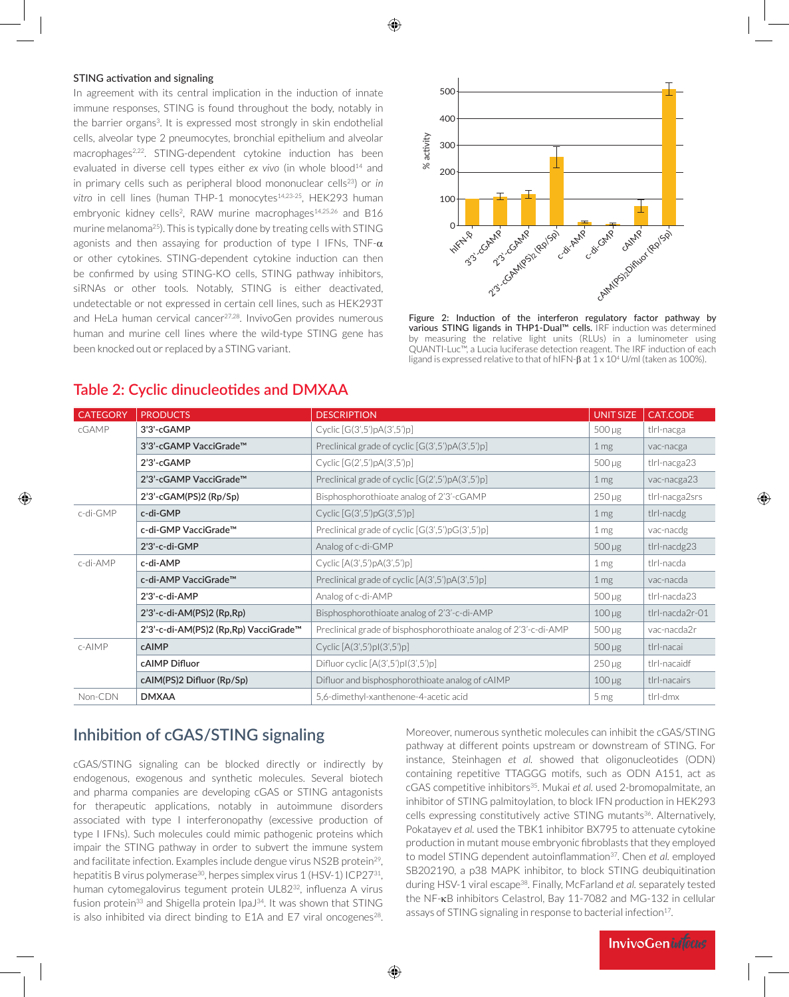### STING activation and signaling

⊕

In agreement with its central implication in the induction of innate immune responses, STING is found throughout the body, notably in the barrier organs<sup>3</sup>. It is expressed most strongly in skin endothelial cells, alveolar type 2 pneumocytes, bronchial epithelium and alveolar macrophages<sup>2,22</sup>. STING-dependent cytokine induction has been evaluated in diverse cell types either ex vivo (in whole blood<sup>14</sup> and in primary cells such as peripheral blood mononuclear cells<sup>23</sup>) or *in* vitro in cell lines (human THP-1 monocytes<sup>14,23-25</sup>, HEK293 human embryonic kidney cells<sup>2</sup>, RAW murine macrophages<sup>14,25,26</sup> and B16 murine melanoma<sup>25</sup>). This is typically done by treating cells with STING agonists and then assaying for production of type I IFNs, TNF- $\alpha$ or other cytokines. STING-dependent cytokine induction can then be confirmed by using STING-KO cells, STING pathway inhibitors, siRNAs or other tools. Notably, STING is either deactivated, undetectable or not expressed in certain cell lines, such as HEK293T and HeLa human cervical cancer<sup>27,28</sup>. InvivoGen provides numerous human and murine cell lines where the wild-type STING gene has been knocked out or replaced by a STING variant.



Figure 2: Induction of the interferon regulatory factor pathway by various STING ligands in THP1-Dual™ cells. IRF induction was determined measuring the relative light units (RLUs) in a luminometer using QUANTI-Luc™, a Lucia luciferase detection reagent. The IRF induction of each ligand is expressed relative to that of hIFN- $\beta$  at  $1 \times 10^4$  U/ml (taken as 100%).

| <b>CATEGORY</b> | <b>PRODUCTS</b>                       | <b>DESCRIPTION</b>                                               | <b>UNIT SIZE</b> | CAT.CODE        |
|-----------------|---------------------------------------|------------------------------------------------------------------|------------------|-----------------|
| cGAMP           | 3'3'-cGAMP                            | Cyclic $[G(3',5')pA(3',5')p]$                                    | $500 \mu g$      | tlrl-nacga      |
|                 | 3'3'-cGAMP VacciGrade™                | Preclinical grade of cyclic $[G(3',5')pA(3',5')p]$               | 1 <sub>mg</sub>  | vac-nacga       |
|                 | 2'3'-cGAMP                            | Cyclic $[G(2',5')pA(3',5')p]$                                    | $500 \mu g$      | tlrl-nacga23    |
|                 | 2'3'-cGAMP VacciGrade™                | Preclinical grade of cyclic $[G(2',5')pA(3',5')p]$               | 1 <sub>mg</sub>  | vac-nacga23     |
|                 | $2'3'-cGAM(PS)2 (Rp/Sp)$              | Bisphosphorothioate analog of 2'3'-cGAMP                         | $250 \mu g$      | tlrl-nacga2srs  |
| c-di-GMP        | c-di-GMP                              | Cyclic $[G(3',5')pG(3',5')p]$                                    | 1 <sub>mg</sub>  | tlrl-nacdg      |
|                 | c-di-GMP VacciGrade™                  | Preclinical grade of cyclic $[G(3',5')pG(3',5')p]$               | 1 <sub>mg</sub>  | vac-nacdg       |
|                 | 2'3'-c-di-GMP                         | Analog of c-di-GMP                                               | $500 \mu g$      | tlrl-nacdg23    |
| c-di-AMP        | c-di-AMP                              | Cyclic $[A(3',5')pA(3',5')p]$                                    | 1 <sub>mg</sub>  | tlrl-nacda      |
|                 | c-di-AMP VacciGrade™                  | Preclinical grade of cyclic $[A(3',5')pA(3',5')p]$               | 1 <sub>mg</sub>  | vac-nacda       |
|                 | 2'3'-c-di-AMP                         | Analog of c-di-AMP                                               | $500 \mu g$      | tlrl-nacda23    |
|                 | $2'3'-c-di-AM(PS)2 (Rp,Rp)$           | Bisphosphorothioate analog of 2'3'-c-di-AMP                      | $100 \mu g$      | tlrl-nacda2r-01 |
|                 | 2'3'-c-di-AM(PS)2 (Rp,Rp) VacciGrade™ | Preclinical grade of bisphosphorothioate analog of 2'3'-c-di-AMP | $500 \mu g$      | vac-nacda2r     |
| $c$ -AIMP       | cAIMP                                 | Cyclic $[A(3',5')pI(3',5')p]$                                    | $500 \mu g$      | tlrl-nacai      |
|                 | cAIMP Difluor                         | Difluor cyclic $[A(3',5')p](3',5')p$ ]                           | $250 \mu g$      | tlrl-nacaidf    |
|                 | cAIM(PS)2 Difluor (Rp/Sp)             | Difluor and bisphosphorothioate analog of cAIMP                  | $100 \mu g$      | tlrl-nacairs    |
| Non-CDN         | <b>DMXAA</b>                          | 5,6-dimethyl-xanthenone-4-acetic acid                            | 5 <sub>mg</sub>  | tlrl-dmx        |

⊕

## **Table 2: Cyclic dinucleotides and DMXAA**

# **Inhibition of cGAS/STING signaling**

cGAS/STING signaling can be blocked directly or indirectly by endogenous, exogenous and synthetic molecules. Several biotech and pharma companies are developing cGAS or STING antagonists for therapeutic applications, notably in autoimmune disorders associated with type I interferonopathy (excessive production of type I IFNs). Such molecules could mimic pathogenic proteins which impair the STING pathway in order to subvert the immune system and facilitate infection. Examples include dengue virus NS2B protein<sup>29</sup>, hepatitis B virus polymerase<sup>30</sup>, herpes simplex virus 1 (HSV-1) ICP27<sup>31</sup>, human cytomegalovirus tegument protein UL82<sup>32</sup>, influenza A virus fusion protein<sup>33</sup> and Shigella protein IpaJ<sup>34</sup>. It was shown that STING is also inhibited via direct binding to  $E1A$  and  $E7$  viral oncogenes<sup>28</sup>.

Moreover, numerous synthetic molecules can inhibit the cGAS/STING pathway at different points upstream or downstream of STING. For instance, Steinhagen *et al.* showed that oligonucleotides (ODN) containing repetitive TTAGGG motifs, such as ODN A151, act as cGAS competitive inhibitors<sup>35</sup>. Mukai *et al.* used 2-bromopalmitate, an inhibitor of STING palmitoylation, to block IFN production in HEK293 cells expressing constitutively active STING mutants<sup>36</sup>. Alternatively, Pokatayev *et al.* used the TBK1 inhibitor BX795 to attenuate cytokine production in mutant mouse embryonic fibroblasts that they employed to model STING dependent autoinflammation<sup>37</sup>. Chen *et al.* employed SB202190, a p38 MAPK inhibitor, to block STING deubiquitination during HSV-1 viral escape38. Finally, McFarland *et al.* separately tested the NF-κB inhibitors Celastrol, Bay 11-7082 and MG-132 in cellular assays of STING signaling in response to bacterial infection<sup>17</sup>.

**InvivoGenintous**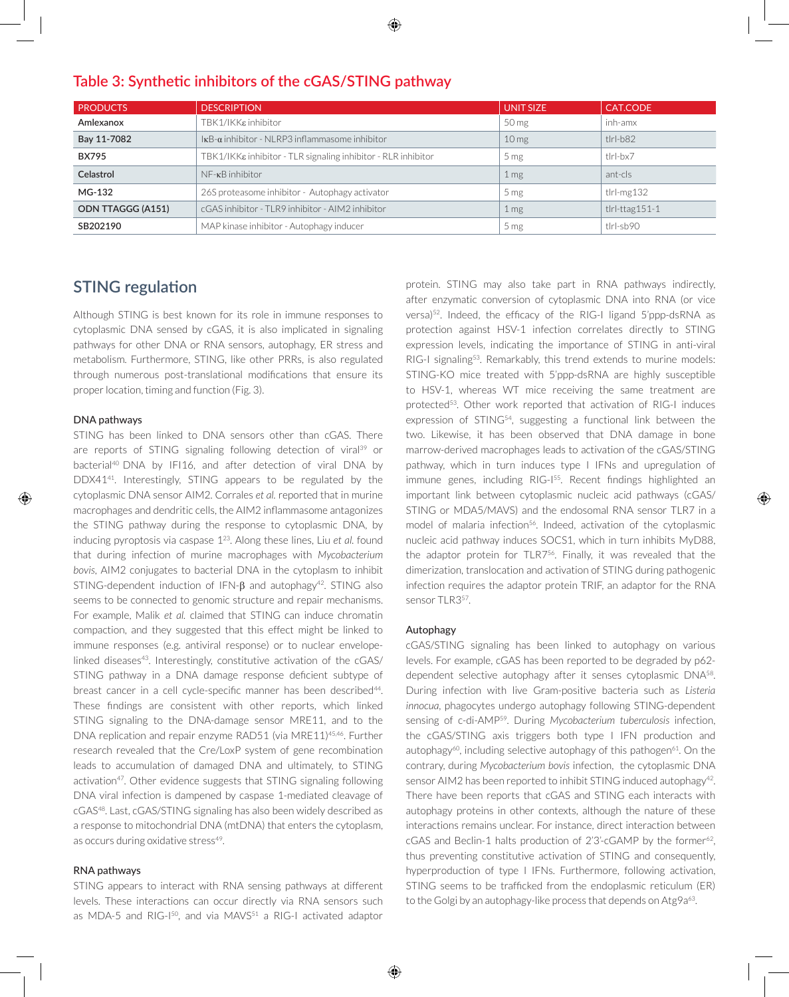| <b>PRODUCTS</b>          | <b>DESCRIPTION</b>                                                        | <b>UNIT SIZE</b> | CAT.CODE                 |
|--------------------------|---------------------------------------------------------------------------|------------------|--------------------------|
| Amlexanox                | TBK1/IKK& inhibitor                                                       | 50 mg            | inh-amx                  |
| Bay 11-7082              | $kB-\alpha$ inhibitor - NLRP3 inflammasome inhibitor                      | 10 <sub>mg</sub> | $t$  r - $b82$           |
| <b>BX795</b>             | $TBK1/IKK\varepsilon$ inhibitor - TLR signaling inhibitor - RLR inhibitor | 5 <sub>mg</sub>  | tlrl-bx7                 |
| Celastrol                | $NF - \kappa B$ inhibitor                                                 | 1 <sub>mg</sub>  | ant-cls                  |
| MG-132                   | 26S proteasome inhibitor - Autophagy activator                            | 5 <sub>mg</sub>  | $t$ lrl-mg $132$         |
| <b>ODN TTAGGG (A151)</b> | cGAS inhibitor - TLR9 inhibitor - AIM2 inhibitor                          | 1 <sub>mg</sub>  | $t$ lrl- $t$ tag $151-1$ |
| SB202190                 | MAP kinase inhibitor - Autophagy inducer                                  | 5 <sub>mg</sub>  | tlrl-sb90                |

## **Table 3: Synthetic inhibitors of the cGAS/STING pathway**

# **STING regulation**

Although STING is best known for its role in immune responses to cytoplasmic DNA sensed by cGAS, it is also implicated in signaling pathways for other DNA or RNA sensors, autophagy, ER stress and metabolism. Furthermore, STING, like other PRRs, is also regulated through numerous post-translational modifications that ensure its proper location, timing and function (Fig. 3).

#### DNA pathways

⊕

STING has been linked to DNA sensors other than cGAS. There are reports of STING signaling following detection of viral<sup>39</sup> or bacterial<sup>40</sup> DNA by IFI16, and after detection of viral DNA by DDX41<sup>41</sup>. Interestingly, STING appears to be regulated by the cytoplasmic DNA sensor AIM2. Corrales *et al.* reported that in murine macrophages and dendritic cells, the AIM2 inflammasome antagonizes the STING pathway during the response to cytoplasmic DNA, by inducing pyroptosis via caspase 123. Along these lines, Liu *et al.* found that during infection of murine macrophages with *Mycobacterium bovis*, AIM2 conjugates to bacterial DNA in the cytoplasm to inhibit STING-dependent induction of IFN- $\beta$  and autophagy<sup>42</sup>. STING also seems to be connected to genomic structure and repair mechanisms. For example, Malik *et al.* claimed that STING can induce chromatin compaction, and they suggested that this effect might be linked to immune responses (e.g. antiviral response) or to nuclear envelopelinked diseases<sup>43</sup>. Interestingly, constitutive activation of the cGAS/ STING pathway in a DNA damage response deficient subtype of breast cancer in a cell cycle-specific manner has been described<sup>44</sup>. These findings are consistent with other reports, which linked STING signaling to the DNA-damage sensor MRE11, and to the DNA replication and repair enzyme RAD51 (via MRE11)45,46. Further research revealed that the Cre/LoxP system of gene recombination leads to accumulation of damaged DNA and ultimately, to STING activation<sup>47</sup>. Other evidence suggests that STING signaling following DNA viral infection is dampened by caspase 1-mediated cleavage of cGAS<sup>48</sup>. Last, cGAS/STING signaling has also been widely described as a response to mitochondrial DNA (mtDNA) that enters the cytoplasm, as occurs during oxidative stress<sup>49</sup>.

### RNA pathways

STING appears to interact with RNA sensing pathways at different levels. These interactions can occur directly via RNA sensors such as MDA-5 and RIG-I<sup>50</sup>, and via MAVS<sup>51</sup> a RIG-I activated adaptor

protein. STING may also take part in RNA pathways indirectly, after enzymatic conversion of cytoplasmic DNA into RNA (or vice versa)52. Indeed, the efficacy of the RIG-I ligand 5'ppp-dsRNA as protection against HSV-1 infection correlates directly to STING expression levels, indicating the importance of STING in anti-viral RIG-I signaling<sup>53</sup>. Remarkably, this trend extends to murine models: STING-KO mice treated with 5'ppp-dsRNA are highly susceptible to HSV-1, whereas WT mice receiving the same treatment are protected<sup>53</sup>. Other work reported that activation of RIG-I induces expression of STING<sup>54</sup>, suggesting a functional link between the two. Likewise, it has been observed that DNA damage in bone marrow-derived macrophages leads to activation of the cGAS/STING pathway, which in turn induces type I IFNs and upregulation of immune genes, including RIG-1<sup>55</sup>. Recent findings highlighted an important link between cytoplasmic nucleic acid pathways (cGAS/ STING or MDA5/MAVS) and the endosomal RNA sensor TLR7 in a model of malaria infection<sup>56</sup>. Indeed, activation of the cytoplasmic nucleic acid pathway induces SOCS1, which in turn inhibits MyD88, the adaptor protein for TLR7<sup>56</sup>. Finally, it was revealed that the dimerization, translocation and activation of STING during pathogenic infection requires the adaptor protein TRIF, an adaptor for the RNA sensor TLR357.

⊕

#### Autophagy

cGAS/STING signaling has been linked to autophagy on various levels. For example, cGAS has been reported to be degraded by p62 dependent selective autophagy after it senses cytoplasmic DNA<sup>58</sup>. During infection with live Gram-positive bacteria such as *Listeria innocua*, phagocytes undergo autophagy following STING-dependent sensing of c-di-AMP59. During *Mycobacterium tuberculosis* infection, the cGAS/STING axis triggers both type I IFN production and autophagy<sup>60</sup>, including selective autophagy of this pathogen<sup>61</sup>. On the contrary, during *Mycobacterium bovis* infection, the cytoplasmic DNA sensor AIM2 has been reported to inhibit STING induced autophagy<sup>42</sup>. There have been reports that cGAS and STING each interacts with autophagy proteins in other contexts, although the nature of these interactions remains unclear. For instance, direct interaction between  $cGAS$  and Beclin-1 halts production of 2'3'-cGAMP by the former<sup>62</sup>, thus preventing constitutive activation of STING and consequently, hyperproduction of type I IFNs. Furthermore, following activation, STING seems to be trafficked from the endoplasmic reticulum (ER) to the Golgi by an autophagy-like process that depends on  $Atg2a^{63}$ .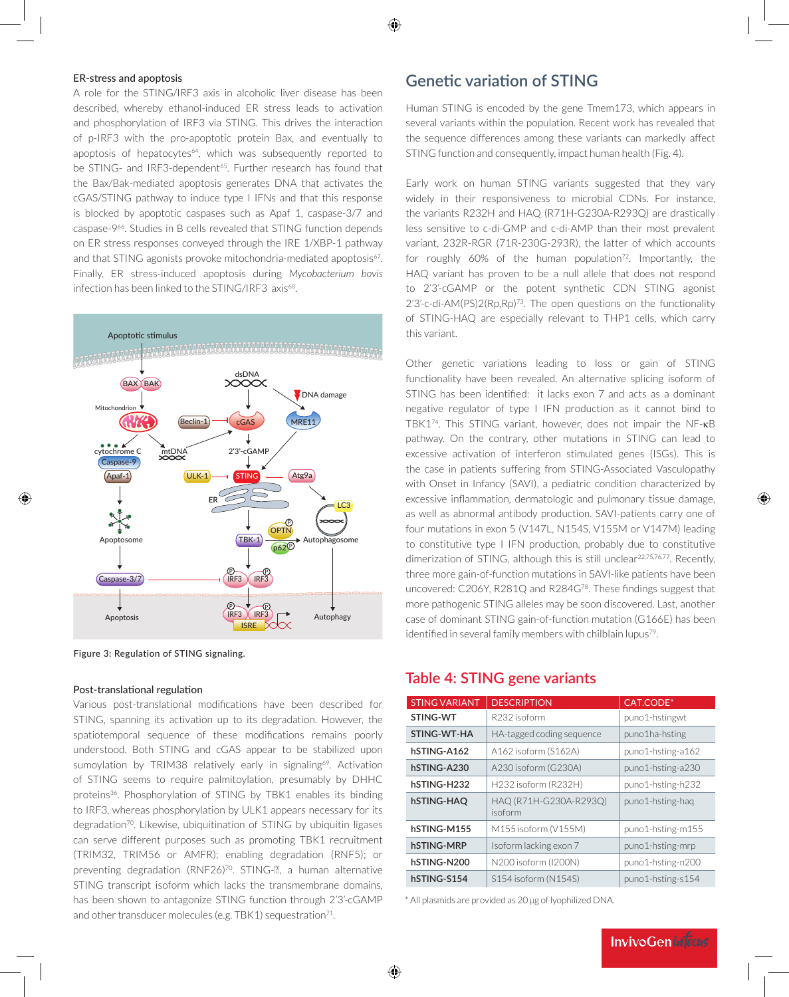### ER-stress and apoptosis

A role for the STING/IRF3 axis in alcoholic liver disease has been described, whereby ethanol-induced ER stress leads to activation and phosphorylation of IRF3 via STING. This drives the interaction of p-IRF3 with the pro-apoptotic protein Bax, and eventually to apoptosis of hepatocytes<sup>64</sup>, which was subsequently reported to be STING- and IRF3-dependent<sup>65</sup>. Further research has found that the Bax/Bak-mediated apoptosis generates DNA that activates the cGAS/STING pathway to induce type I IFNs and that this response is blocked by apoptotic caspases such as Apaf 1, caspase-3/7 and caspase-966. Studies in B cells revealed that STING function depends on ER stress responses conveyed through the IRE 1/XBP-1 pathway and that STING agonists provoke mitochondria-mediated apoptosis<sup>67</sup>. Finally, ER stress-induced apoptosis during *Mycobacterium bovis*  infection has been linked to the STING/IRF3 axis<sup>68</sup>.



Figure 3: Regulation of STING signaling.

#### Post-translational regulation

⊕

Various post-translational modifications have been described for STING, spanning its activation up to its degradation. However, the spatiotemporal sequence of these modifications remains poorly understood. Both STING and cGAS appear to be stabilized upon sumoylation by TRIM38 relatively early in signaling<sup>69</sup>. Activation of STING seems to require palmitoylation, presumably by DHHC proteins<sup>36</sup>. Phosphorylation of STING by TBK1 enables its binding to IRF3, whereas phosphorylation by ULK1 appears necessary for its degradation<sup>70</sup>. Likewise, ubiquitination of STING by ubiquitin ligases can serve different purposes such as promoting TBK1 recruitment (TRIM32, TRIM56 or AMFR); enabling degradation (RNF5); or preventing degradation (RNF26)<sup>70</sup>. STING-**R**, a human alternative STING transcript isoform which lacks the transmembrane domains, has been shown to antagonize STING function through 2'3'-cGAMP and other transducer molecules (e.g. TBK1) sequestration $71$ .

## **Genetic variation of STING**

Human STING is encoded by the gene Tmem173, which appears in several variants within the population. Recent work has revealed that the sequence differences among these variants can markedly affect STING function and consequently, impact human health (Fig. 4).

Early work on human STING variants suggested that they vary widely in their responsiveness to microbial CDNs. For instance, the variants R232H and HAQ (R71H-G230A-R293Q) are drastically less sensitive to c-di-GMP and c-di-AMP than their most prevalent variant, 232R-RGR (71R-230G-293R), the latter of which accounts for roughly  $60\%$  of the human population<sup>72</sup>. Importantly, the HAQ variant has proven to be a null allele that does not respond to 2'3'-cGAMP or the potent synthetic CDN STING agonist 2'3'-c-di-AM(PS)2(Rp,Rp)73. The open questions on the functionality of STING-HAQ are especially relevant to THP1 cells, which carry this variant.

Other genetic variations leading to loss or gain of STING functionality have been revealed. An alternative splicing isoform of STING has been identified: it lacks exon 7 and acts as a dominant negative regulator of type I IFN production as it cannot bind to TBK174. This STING variant, however, does not impair the NF-κB pathway. On the contrary, other mutations in STING can lead to excessive activation of interferon stimulated genes (ISGs). This is the case in patients suffering from STING-Associated Vasculopathy with Onset in Infancy (SAVI), a pediatric condition characterized by excessive inflammation, dermatologic and pulmonary tissue damage, as well as abnormal antibody production. SAVI-patients carry one of four mutations in exon 5 (V147L, N154S, V155M or V147M) leading to constitutive type I IFN production, probably due to constitutive dimerization of STING, although this is still unclear<sup>22,75,76,77</sup>. Recently, three more gain-of-function mutations in SAVI-like patients have been uncovered: C206Y, R281Q and R284G78. These findings suggest that more pathogenic STING alleles may be soon discovered. Last, another case of dominant STING gain-of-function mutation (G166E) has been identified in several family members with chilblain lupus<sup>79</sup>.

## **Table 4: STING gene variants**

| <b>STING VARIANT</b> | <b>DESCRIPTION</b>                | CAT.CODE*         |
|----------------------|-----------------------------------|-------------------|
| STING-WT             | R232 isoform                      | puno1-hstingwt    |
| STING-WT-HA          | HA-tagged coding sequence         | puno1ha-hsting    |
| hSTING-A162          | A162 isoform (S162A)              | puno1-hsting-a162 |
| hSTING-A230          | A230 isoform (G230A)              | puno1-hsting-a230 |
| hSTING-H232          | H232 isoform (R232H)              | puno1-hsting-h232 |
| hSTING-HAO           | HAQ (R71H-G230A-R293Q)<br>isoform | puno1-hsting-haq  |
| hSTING-M155          | M155 isoform (V155M)              | puno1-hsting-m155 |
| hSTING-MRP           | Isoform lacking exon 7            | puno1-hsting-mrp  |
| hSTING-N200          | N200 isoform (I200N)              | puno1-hsting-n200 |
| hSTING-S154          | S154 isoform (N154S)              | puno1-hsting-s154 |

\* All plasmids are provided as 20 µg of lyophilized DNA.

⊕

**InvivoGeninfocus** 

↔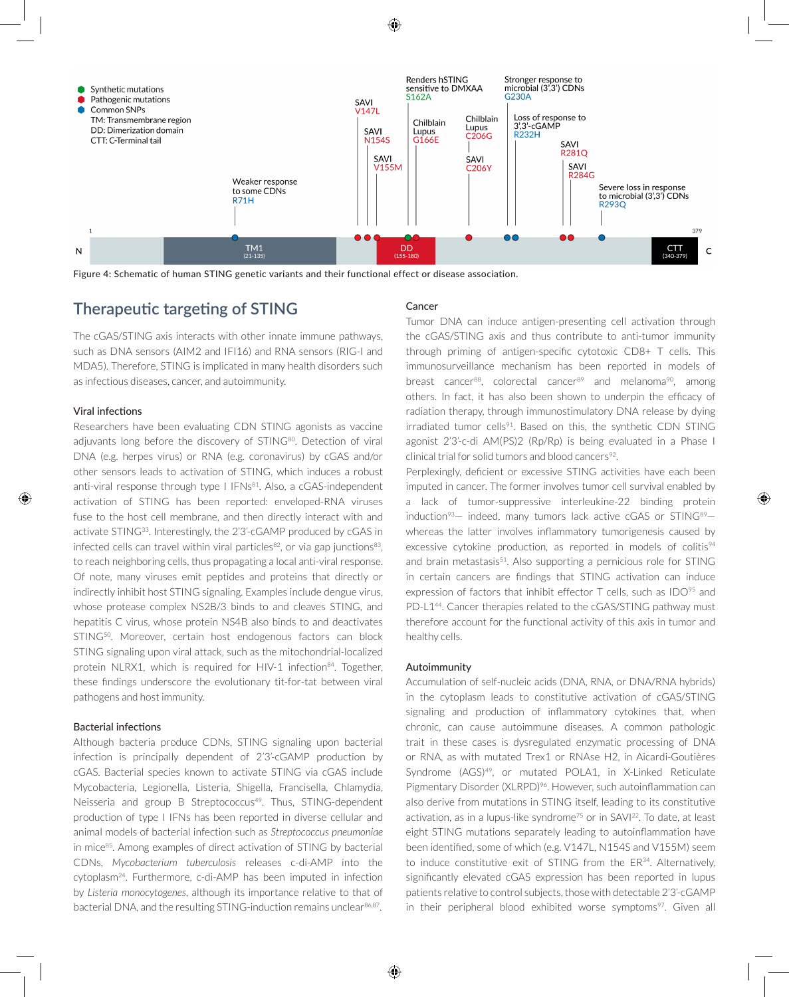

Figure 4: Schematic of human STING genetic variants and their functional effect or disease association.

# **Therapeutic targeting of STING**

The cGAS/STING axis interacts with other innate immune pathways, such as DNA sensors (AIM2 and IFI16) and RNA sensors (RIG-I and MDA5). Therefore, STING is implicated in many health disorders such as infectious diseases, cancer, and autoimmunity.

#### Viral infections

⊕

Researchers have been evaluating CDN STING agonists as vaccine adjuvants long before the discovery of STING<sup>80</sup>. Detection of viral DNA (e.g. herpes virus) or RNA (e.g. coronavirus) by cGAS and/or other sensors leads to activation of STING, which induces a robust anti-viral response through type I IFNs<sup>81</sup>. Also, a cGAS-independent activation of STING has been reported: enveloped-RNA viruses fuse to the host cell membrane, and then directly interact with and activate STING<sup>33</sup>. Interestingly, the 2'3'-cGAMP produced by cGAS in infected cells can travel within viral particles $82$ , or via gap junctions $83$ , to reach neighboring cells, thus propagating a local anti-viral response. Of note, many viruses emit peptides and proteins that directly or indirectly inhibit host STING signaling. Examples include dengue virus, whose protease complex NS2B/3 binds to and cleaves STING, and hepatitis C virus, whose protein NS4B also binds to and deactivates STING<sup>50</sup>. Moreover, certain host endogenous factors can block STING signaling upon viral attack, such as the mitochondrial-localized protein NLRX1, which is required for HIV-1 infection<sup>84</sup>. Together, these findings underscore the evolutionary tit-for-tat between viral pathogens and host immunity.

#### Bacterial infections

Although bacteria produce CDNs, STING signaling upon bacterial infection is principally dependent of 2'3'-cGAMP production by cGAS. Bacterial species known to activate STING via cGAS include Mycobacteria, Legionella, Listeria, Shigella, Francisella, Chlamydia, Neisseria and group B Streptococcus<sup>49</sup>. Thus, STING-dependent production of type I IFNs has been reported in diverse cellular and animal models of bacterial infection such as *Streptococcus pneumoniae* in mice<sup>85</sup>. Among examples of direct activation of STING by bacterial CDNs, *Mycobacterium tuberculosis* releases c-di-AMP into the cytoplasm24. Furthermore, c-di-AMP has been imputed in infection by *Listeria monocytogenes*, although its importance relative to that of bacterial DNA, and the resulting STING-induction remains unclear<sup>86,87</sup>.

#### Cancer

Tumor DNA can induce antigen-presenting cell activation through the cGAS/STING axis and thus contribute to anti-tumor immunity through priming of antigen-specific cytotoxic CD8+ T cells. This immunosurveillance mechanism has been reported in models of breast cancer<sup>88</sup>, colorectal cancer<sup>89</sup> and melanoma<sup>90</sup>, among others. In fact, it has also been shown to underpin the efficacy of radiation therapy, through immunostimulatory DNA release by dying irradiated tumor cells<sup>91</sup>. Based on this, the synthetic CDN STING agonist 2'3'-c-di AM(PS)2 (Rp/Rp) is being evaluated in a Phase I clinical trial for solid tumors and blood cancers<sup>92</sup>.

Perplexingly, deficient or excessive STING activities have each been imputed in cancer. The former involves tumor cell survival enabled by a lack of tumor-suppressive interleukine-22 binding protein induction<sup>93</sup>- indeed, many tumors lack active cGAS or STING<sup>89</sup>whereas the latter involves inflammatory tumorigenesis caused by excessive cytokine production, as reported in models of colitis<sup>94</sup> and brain metastasis $51$ . Also supporting a pernicious role for STING in certain cancers are findings that STING activation can induce expression of factors that inhibit effector  $T$  cells, such as IDO<sup>95</sup> and PD-L1<sup>44</sup>. Cancer therapies related to the cGAS/STING pathway must therefore account for the functional activity of this axis in tumor and healthy cells.

⊕

#### Autoimmunity

Accumulation of self-nucleic acids (DNA, RNA, or DNA/RNA hybrids) in the cytoplasm leads to constitutive activation of cGAS/STING signaling and production of inflammatory cytokines that, when chronic, can cause autoimmune diseases. A common pathologic trait in these cases is dysregulated enzymatic processing of DNA or RNA, as with mutated Trex1 or RNAse H2, in Aicardi-Goutières Syndrome (AGS)<sup>49</sup>, or mutated POLA1, in X-Linked Reticulate Pigmentary Disorder (XLRPD)<sup>96</sup>. However, such autoinflammation can also derive from mutations in STING itself, leading to its constitutive activation, as in a lupus-like syndrome<sup>75</sup> or in SAVI<sup>22</sup>. To date, at least eight STING mutations separately leading to autoinflammation have been identified, some of which (e.g. V147L, N154S and V155M) seem to induce constitutive exit of STING from the ER<sup>34</sup>. Alternatively, significantly elevated cGAS expression has been reported in lupus patients relative to control subjects, those with detectable 2'3'-cGAMP in their peripheral blood exhibited worse symptoms<sup>97</sup>. Given all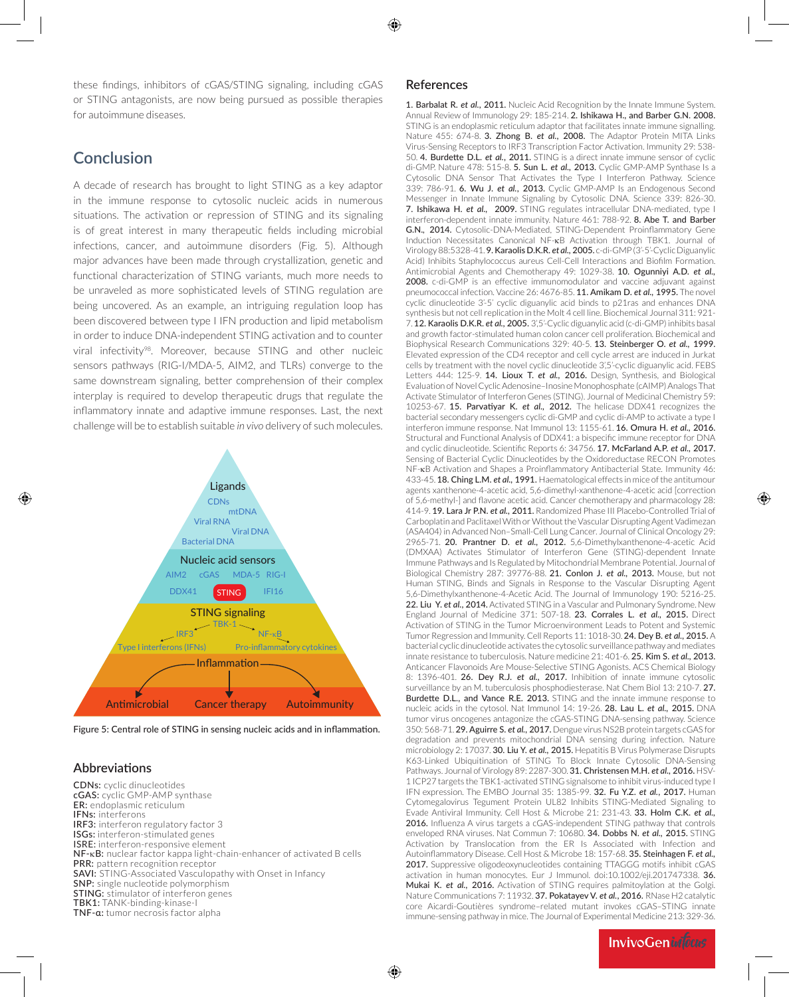⊕

these findings, inhibitors of cGAS/STING signaling, including cGAS or STING antagonists, are now being pursued as possible therapies for autoimmune diseases.

# **Conclusion**

A decade of research has brought to light STING as a key adaptor in the immune response to cytosolic nucleic acids in numerous situations. The activation or repression of STING and its signaling is of great interest in many therapeutic fields including microbial infections, cancer, and autoimmune disorders (Fig. 5). Although major advances have been made through crystallization, genetic and functional characterization of STING variants, much more needs to be unraveled as more sophisticated levels of STING regulation are being uncovered. As an example, an intriguing regulation loop has been discovered between type I IFN production and lipid metabolism in order to induce DNA-independent STING activation and to counter viral infectivity<sup>98</sup>. Moreover, because STING and other nucleic sensors pathways (RIG-I/MDA-5, AIM2, and TLRs) converge to the same downstream signaling, better comprehension of their complex interplay is required to develop therapeutic drugs that regulate the inflammatory innate and adaptive immune responses. Last, the next challenge will be to establish suitable *in vivo* delivery of such molecules.



Figure 5: Central role of STING in sensing nucleic acids and in inflammation.

## **Abbreviations**

⊕

CDNs: cyclic dinucleotides cGAS: cyclic GMP-AMP synthase ER: endoplasmic reticulum IFNs: interferons IRF3: interferon regulatory factor 3 ISGs: interferon-stimulated genes ISRE: interferon-responsive element NF-κB: nuclear factor kappa light-chain-enhancer of activated B cells PRR: pattern recognition receptor **SAVI:** STING-Associated Vasculopathy with Onset in Infancy SNP: single nucleotide polymorphism **STING:** stimulator of interferon genes TBK1: TANK-binding-kinase-I TNF-α: tumor necrosis factor alpha

## **References**

1. Barbalat R. *et al.*, 2011. Nucleic Acid Recognition by the Innate Immune System. Annual Review of Immunology 29: 185-214. 2. Ishikawa H., and Barber G.N. 2008. STING is an endoplasmic reticulum adaptor that facilitates innate immune signalling. Nature 455: 674-8. 3. Zhong B. *et al.*, 2008. The Adaptor Protein MITA Links Virus-Sensing Receptors to IRF3 Transcription Factor Activation. Immunity 29: 538- 50. 4. Burdette D.L. *et al.*, 2011. STING is a direct innate immune sensor of cyclic di-GMP. Nature 478: 515-8. 5. Sun L. *et al.,* 2013. Cyclic GMP-AMP Synthase Is a Cytosolic DNA Sensor That Activates the Type I Interferon Pathway. Science 339: 786-91. 6. Wu J. *et al.*, 2013. Cyclic GMP-AMP Is an Endogenous Second Messenger in Innate Immune Signaling by Cytosolic DNA. Science 339: 826-30. 7. Ishikawa H. *et al.,* 2009. STING regulates intracellular DNA-mediated, type I interferon-dependent innate immunity. Nature 461: 788-92. 8. Abe T. and Barber G.N.*,* 2014. Cytosolic-DNA-Mediated, STING-Dependent Proinflammatory Gene Induction Necessitates Canonical NF-κB Activation through TBK1. Journal of Virology 88:5328-41. 9. Karaolis D.K.R. *et al.,* 2005. c-di-GMP (3'-5'-Cyclic Diguanylic Acid) Inhibits Staphylococcus aureus Cell-Cell Interactions and Biofilm Formation. Antimicrobial Agents and Chemotherapy 49: 1029-38. 10. Ogunniyi A.D. *et al.,* 2008. c-di-GMP is an effective immunomodulator and vaccine adjuvant against pneumococcal infection. Vaccine 26: 4676-85. 11. Amikam D. *et al.,* 1995. The novel cyclic dinucleotide 3'-5' cyclic diguanylic acid binds to p21ras and enhances DNA synthesis but not cell replication in the Molt 4 cell line. Biochemical Journal 311: 921- 7. 12. Karaolis D.K.R. *et al.,* 2005. 3',5'-Cyclic diguanylic acid (c-di-GMP) inhibits basal and growth factor-stimulated human colon cancer cell proliferation. Biochemical and Biophysical Research Communications 329: 40-5. 13. Steinberger O. *et al.,* 1999. Elevated expression of the CD4 receptor and cell cycle arrest are induced in Jurkat cells by treatment with the novel cyclic dinucleotide 3',5'-cyclic diguanylic acid. FEBS Letters 444: 125-9. 14. Lioux T. *et al.,* 2016. Design, Synthesis, and Biological Evaluation of Novel Cyclic Adenosine–Inosine Monophosphate (cAIMP) Analogs That Activate Stimulator of Interferon Genes (STING). Journal of Medicinal Chemistry 59: 10253-67. 15. Parvatiyar K. *et al.,* 2012. The helicase DDX41 recognizes the bacterial secondary messengers cyclic di-GMP and cyclic di-AMP to activate a type I interferon immune response. Nat Immunol 13: 1155-61. 16. Omura H. *et al.,* 2016. Structural and Functional Analysis of DDX41: a bispecific immune receptor for DNA and cyclic dinucleotide. Scientific Reports 6: 34756. 17. McFarland A.P. *et al.,* 2017. Sensing of Bacterial Cyclic Dinucleotides by the Oxidoreductase RECON Promotes NF-κB Activation and Shapes a Proinflammatory Antibacterial State. Immunity 46: 433-45. 18. Ching L.M. *et al.,* 1991. Haematological effects in mice of the antitumour agents xanthenone-4-acetic acid, 5,6-dimethyl-xanthenone-4-acetic acid [correction of 5,6-methyl-] and flavone acetic acid. Cancer chemotherapy and pharmacology 28: 414-9. 19. Lara Jr P.N. *et al.,* 2011. Randomized Phase III Placebo-Controlled Trial of Carboplatin and Paclitaxel With or Without the Vascular Disrupting Agent Vadimezan (ASA404) in Advanced Non–Small-Cell Lung Cancer. Journal of Clinical Oncology 29: 2965-71. 20. Prantner D. *et al.,* 2012. 5,6-Dimethylxanthenone-4-acetic Acid (DMXAA) Activates Stimulator of Interferon Gene (STING)-dependent Innate Immune Pathways and Is Regulated by Mitochondrial Membrane Potential. Journal of Biological Chemistry 287: 39776-88. 21. Conlon J. *et al.,* 2013. Mouse, but not Human STING, Binds and Signals in Response to the Vascular Disrupting Agent 5,6-Dimethylxanthenone-4-Acetic Acid. The Journal of Immunology 190: 5216-25. 22. Liu Y. *et al.*, 2014. Activated STING in a Vascular and Pulmonary Syndrome. New England Journal of Medicine 371: 507-18. 23. Corrales L. *et al.,* 2015. Direct Activation of STING in the Tumor Microenvironment Leads to Potent and Systemic Tumor Regression and Immunity. Cell Reports 11: 1018-30. 24. Dey B. *et al.,* 2015. A bacterial cyclic dinucleotide activates the cytosolic surveillance pathway and mediates innate resistance to tuberculosis. Nature medicine 21: 401-6. 25. Kim S. *et al.,* 2013. Anticancer Flavonoids Are Mouse-Selective STING Agonists. ACS Chemical Biology 8: 1396-401. 26. Dey R.J. *et al.,* 2017. Inhibition of innate immune cytosolic surveillance by an M. tuberculosis phosphodiesterase. Nat Chem Biol 13: 210-7. 27. Burdette D.L., and Vance R.E. 2013. STING and the innate immune response to nucleic acids in the cytosol. Nat Immunol 14: 19-26. 28. Lau L. *et al.,* 2015. DNA tumor virus oncogenes antagonize the cGAS-STING DNA-sensing pathway. Science 350: 568-71. 29. Aguirre S. *et al.,* 2017. Dengue virus NS2B protein targets cGAS for degradation and prevents mitochondrial DNA sensing during infection. Nature microbiology 2: 17037. 30. Liu Y. *et al.,* 2015. Hepatitis B Virus Polymerase Disrupts K63-Linked Ubiquitination of STING To Block Innate Cytosolic DNA-Sensing Pathways. Journal of Virology 89: 2287-300. 31. Christensen M.H. *et al.,* 2016. HSV-1 ICP27 targets the TBK1-activated STING signalsome to inhibit virus-induced type I IFN expression. The EMBO Journal 35: 1385-99. 32. Fu Y.Z. *et al.*, 2017. Human Cytomegalovirus Tegument Protein UL82 Inhibits STING-Mediated Signaling to Evade Antiviral Immunity. Cell Host & Microbe 21: 231-43. 33. Holm C.K. *et al.,* 2016. Influenza A virus targets a cGAS-independent STING pathway that controls enveloped RNA viruses. Nat Commun 7: 10680. 34. Dobbs N. *et al.,* 2015. STING Activation by Translocation from the ER Is Associated with Infection and Autoinflammatory Disease. Cell Host & Microbe 18: 157-68. 35. Steinhagen F. *et al.,* 2017. Suppressive oligodeoxynucleotides containing TTAGGG motifs inhibit cGAS activation in human monocytes. Eur J Immunol. doi:10.1002/eji.201747338. 36. Mukai K. et al., 2016. Activation of STING requires palmitoylation at the Golgi. Nature Communications 7: 11932. 37. Pokatayev V. *et al.*, 2016. RNase H2 catalytic core Aicardi-Goutières syndrome–related mutant invokes cGAS–STING innate immune-sensing pathway in mice. The Journal of Experimental Medicine 213: 329-36.

**InvivoGeniaTous**